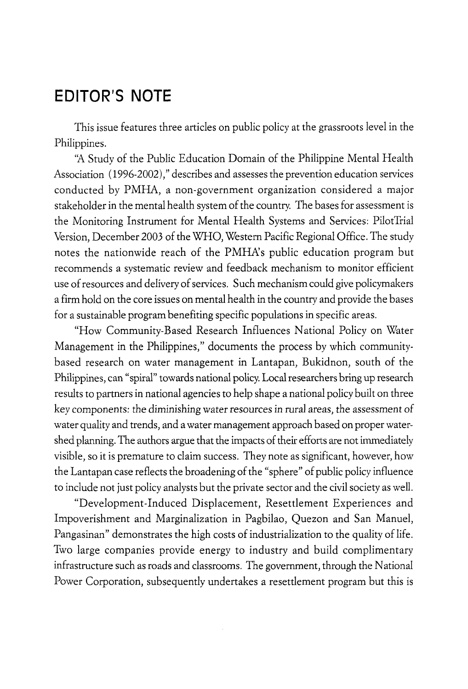## **EDITOR'S NOTE**

This issue features three articles on public policy at the grassroots level in the Philippines.

"A Study of the Public Education Domain of the Philippine Mental Health Association ( 1996-2002)," describes and assesses the prevention education services conducted by PMHA, a non-government organization considered a major stakeholder in the mental health system of the country. The bases for assessment is the Monitoring Instrument for Mental Health Systems and Services: PilotTrial Version, December 2003 of the WHO, Western Pacific Regional Office. The study notes the nationwide reach of the PMHA's public education program but recommends a systematic review and feedback mechanism to monitor efficient use of resources and delivery of services. Such mechanism could give policymakers a firm hold on the core issues on mental health in the country and provide the bases for a sustainable program benefiting specific populations in specific areas.

"How Community-Based Research Influences National Policy on Water Management in the Philippines," documents the process by which communitybased research on water management in Lantapan, Bukidnon, south of the Philippines, can "spiral" towards national policy. Local researchers bring up research results to partners in national agencies to help shape a national policy built on three key components: the diminishing water resources in rural areas, the assessment of water quality and trends, and a water management approach based on proper watershed planning. The authors argue that the impacts of their efforts are not immediately visible, so it is premature to claim success. They note as significant, however, how the Lantapan case reflects the broadening of the "sphere" of public policy influence to include not just policy analysts but the private sector and the civil society as well.

"Development-Induced Displacement, Resettlement Experiences and Impoverishment and Marginalization in Pagbilao, Quezon and San Manuel, Pangasinan" demonstrates the high costs of industrialization to the quality of life. Two large companies provide energy to industry and build complimentary infrastructure such as roads and classrooms. The government, through the National Power Corporation, subsequently undertakes a resettlement program but this is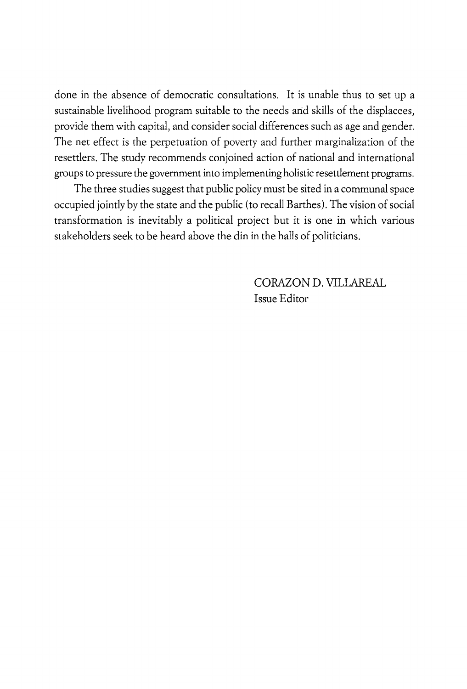done in the absence of democratic consultations. It is unable thus to set up a sustainable livelihood program suitable to the needs and skills of the displacees, provide them with capital, and consider social differences such as age and gender. The net effect is the perpetuation of poverty and further marginalization of the resettlers. The study recommends conjoined action of national and international groups to pressure the government into implementing holistic resettlement programs.

The three studies suggest that public policy must be sited in a communal space occupied jointly by the state and the public (to recall Barthes). The vision of social transformation is inevitably a political project but it is one in which various stakeholders seek to be heard above the din in the halls of politicians.

> CORAZON D. VILLAREAL Issue Editor